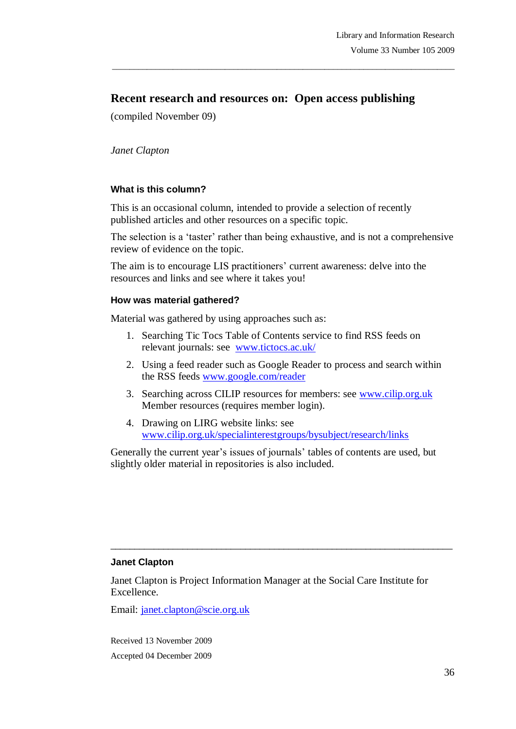# **Recent research and resources on: Open access publishing**

\_\_\_\_\_\_\_\_\_\_\_\_\_\_\_\_\_\_\_\_\_\_\_\_\_\_\_\_\_\_\_\_\_\_\_\_\_\_\_\_\_\_\_\_\_\_\_\_\_\_\_\_\_\_\_\_\_\_\_\_\_\_\_\_\_\_\_\_\_\_\_\_\_\_\_\_\_\_\_

(compiled November 09)

*Janet Clapton*

#### **What is this column?**

This is an occasional column, intended to provide a selection of recently published articles and other resources on a specific topic.

The selection is a 'taster' rather than being exhaustive, and is not a comprehensive review of evidence on the topic.

The aim is to encourage LIS practitioners' current awareness: delve into the resources and links and see where it takes you!

#### **How was material gathered?**

Material was gathered by using approaches such as:

- 1. Searching Tic Tocs Table of Contents service to find RSS feeds on relevant journals: see [www.tictocs.ac.uk/](http://www.tictocs.ac.uk/)
- 2. Using a feed reader such as Google Reader to process and search within the RSS feeds [www.google.com/reader](http://www.google.com/reader)
- 3. Searching across CILIP resources for members: see [www.cilip.org.uk](http://www.cilip.org.uk/) Member resources (requires member login).
- 4. Drawing on LIRG website links: see [www.cilip.org.uk/specialinterestgroups/bysubject/research/links](http://www.cilip.org.uk/specialinterestgroups/bysubject/research/links)

Generally the current year's issues of journals' tables of contents are used, but slightly older material in repositories is also included.

#### **Janet Clapton**

Janet Clapton is Project Information Manager at the Social Care Institute for Excellence.

 $\_$  ,  $\_$  ,  $\_$  ,  $\_$  ,  $\_$  ,  $\_$  ,  $\_$  ,  $\_$  ,  $\_$  ,  $\_$  ,  $\_$  ,  $\_$  ,  $\_$  ,  $\_$  ,  $\_$  ,  $\_$  ,  $\_$  ,  $\_$  ,  $\_$  ,  $\_$ 

Email: janet.clapton@scie.org.uk

Received 13 November 2009 Accepted 04 December 2009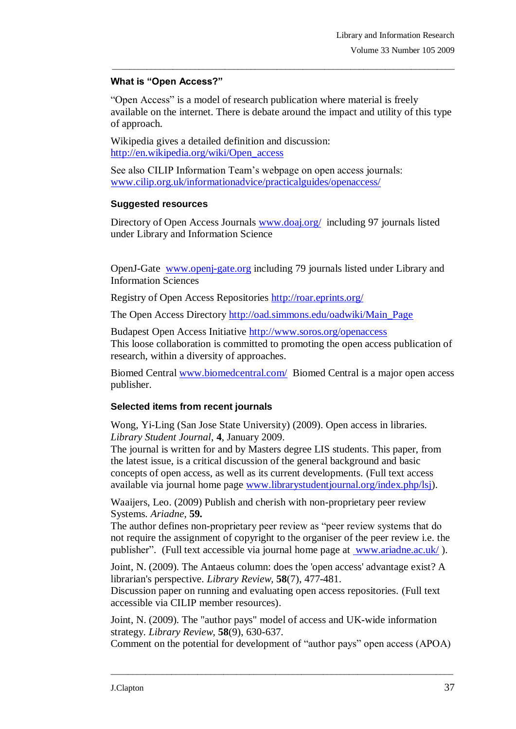#### **What is "Open Access?"**

"Open Access" is a model of research publication where material is freely available on the internet. There is debate around the impact and utility of this type of approach.

\_\_\_\_\_\_\_\_\_\_\_\_\_\_\_\_\_\_\_\_\_\_\_\_\_\_\_\_\_\_\_\_\_\_\_\_\_\_\_\_\_\_\_\_\_\_\_\_\_\_\_\_\_\_\_\_\_\_\_\_\_\_\_\_\_\_\_\_\_\_\_\_\_\_\_\_\_\_\_

Wikipedia gives a detailed definition and discussion: [http://en.wikipedia.org/wiki/Open\\_access](http://en.wikipedia.org/wiki/Open_access)

See also CILIP Information Team"s webpage on open access journals: [www.cilip.org.uk/informationadvice/practicalguides/openaccess/](http://www.cilip.org.uk/informationadvice/practicalguides/openaccess/)

## **Suggested resources**

Directory of Open Access Journals [www.doaj.org/](http://www.doaj.org/) including 97 journals listed under Library and Information Science

OpenJ-Gate [www.openj-gate.org](http://www.openj-gate.org/) including 79 journals listed under Library and Information Sciences

Registry of Open Access Repositories<http://roar.eprints.org/>

The Open Access Directory [http://oad.simmons.edu/oadwiki/Main\\_Page](http://oad.simmons.edu/oadwiki/Main_Page)

Budapest Open Access Initiative<http://www.soros.org/openaccess> This loose collaboration is committed to promoting the open access publication of research, within a diversity of approaches.

Biomed Central [www.biomedcentral.com/](http://www.biomedcentral.com/) Biomed Central is a major open access publisher.

## **Selected items from recent journals**

Wong, Yi-Ling (San Jose State University) (2009). Open access in libraries. *Library Student Journal*, **4**, January 2009.

The journal is written for and by Masters degree LIS students. This paper, from the latest issue, is a critical discussion of the general background and basic concepts of open access, as well as its current developments. (Full text access available via journal home page [www.librarystudentjournal.org/index.php/lsj\)](http://www.librarystudentjournal.org/index.php/lsj).

Waaijers, Leo. (2009) Publish and cherish with non-proprietary peer review Systems. *Ariadne*, **59.**

The author defines non-proprietary peer review as "peer review systems that do not require the assignment of copyright to the organiser of the peer review i.e. the publisher". (Full text accessible via journal home page at www.ariadne.ac.uk/ ).

Joint, N. (2009). The Antaeus column: does the 'open access' advantage exist? A librarian's perspective. *Library Review*, **58**(7), 477-481.

Discussion paper on running and evaluating open access repositories. (Full text accessible via CILIP member resources).

Joint, N. (2009). The "author pays" model of access and UK-wide information strategy. *Library Review*, **58**(9), 630-637.

Comment on the potential for development of "author pays" open access (APOA)

 $\_$  ,  $\_$  ,  $\_$  ,  $\_$  ,  $\_$  ,  $\_$  ,  $\_$  ,  $\_$  ,  $\_$  ,  $\_$  ,  $\_$  ,  $\_$  ,  $\_$  ,  $\_$  ,  $\_$  ,  $\_$  ,  $\_$  ,  $\_$  ,  $\_$  ,  $\_$  ,  $\_$  ,  $\_$  ,  $\_$  ,  $\_$  ,  $\_$  ,  $\_$  ,  $\_$  ,  $\_$  ,  $\_$  ,  $\_$  ,  $\_$  ,  $\_$  ,  $\_$  ,  $\_$  ,  $\_$  ,  $\_$  ,  $\_$  ,